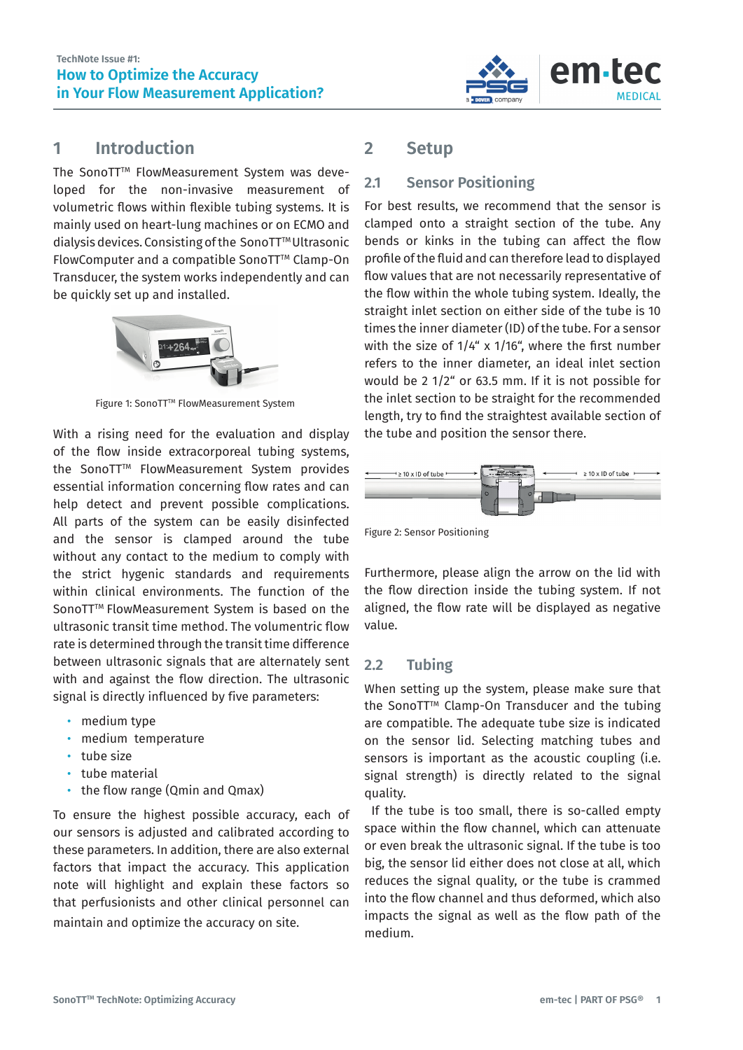

### **1 Introduction**

The SonoTT<sup>™</sup> FlowMeasurement System was developed for the non-invasive measurement of volumetric flows within flexible tubing systems. It is mainly used on heart-lung machines or on ECMO and dialysis devices. Consisting of the SonoTT™ Ultrasonic FlowComputer and a compatible SonoTT™ Clamp-On Transducer, the system works independently and can be quickly set up and installed.



Figure 1: SonoTT™ FlowMeasurement System

With a rising need for the evaluation and display of the flow inside extracorporeal tubing systems, the SonoTT™ FlowMeasurement System provides essential information concerning flow rates and can help detect and prevent possible complications. All parts of the system can be easily disinfected and the sensor is clamped around the tube without any contact to the medium to comply with the strict hygenic standards and requirements within clinical environments. The function of the SonoTT™ FlowMeasurement System is based on the ultrasonic transit time method. The volumentric flow rate is determined through the transit time difference between ultrasonic signals that are alternately sent with and against the flow direction. The ultrasonic signal is directly influenced by five parameters:

- medium type
- medium temperature
- tube size
- tube material
- the flow range (Qmin and Qmax)

To ensure the highest possible accuracy, each of our sensors is adjusted and calibrated according to these parameters. In addition, there are also external factors that impact the accuracy. This application note will highlight and explain these factors so that perfusionists and other clinical personnel can maintain and optimize the accuracy on site.

# **2 Setup**

#### **2.1 Sensor Positioning**

For best results, we recommend that the sensor is clamped onto a straight section of the tube. Any bends or kinks in the tubing can affect the flow profile of the fluid and can therefore lead to displayed flow values that are not necessarily representative of the flow within the whole tubing system. Ideally, the straight inlet section on either side of the tube is 10 times the inner diameter (ID) of the tube. For a sensor with the size of 1/4" x 1/16", where the first number refers to the inner diameter, an ideal inlet section would be 2 1/2" or 63.5 mm. If it is not possible for the inlet section to be straight for the recommended length, try to find the straightest available section of the tube and position the sensor there.



Figure 2: Sensor Positioning

Furthermore, please align the arrow on the lid with the flow direction inside the tubing system. If not aligned, the flow rate will be displayed as negative value.

#### **2.2 Tubing**

When setting up the system, please make sure that the SonoTT™ Clamp-On Transducer and the tubing are compatible. The adequate tube size is indicated on the sensor lid. Selecting matching tubes and sensors is important as the acoustic coupling (i.e. signal strength) is directly related to the signal quality.

If the tube is too small, there is so-called empty space within the flow channel, which can attenuate or even break the ultrasonic signal. If the tube is too big, the sensor lid either does not close at all, which reduces the signal quality, or the tube is crammed into the flow channel and thus deformed, which also impacts the signal as well as the flow path of the medium.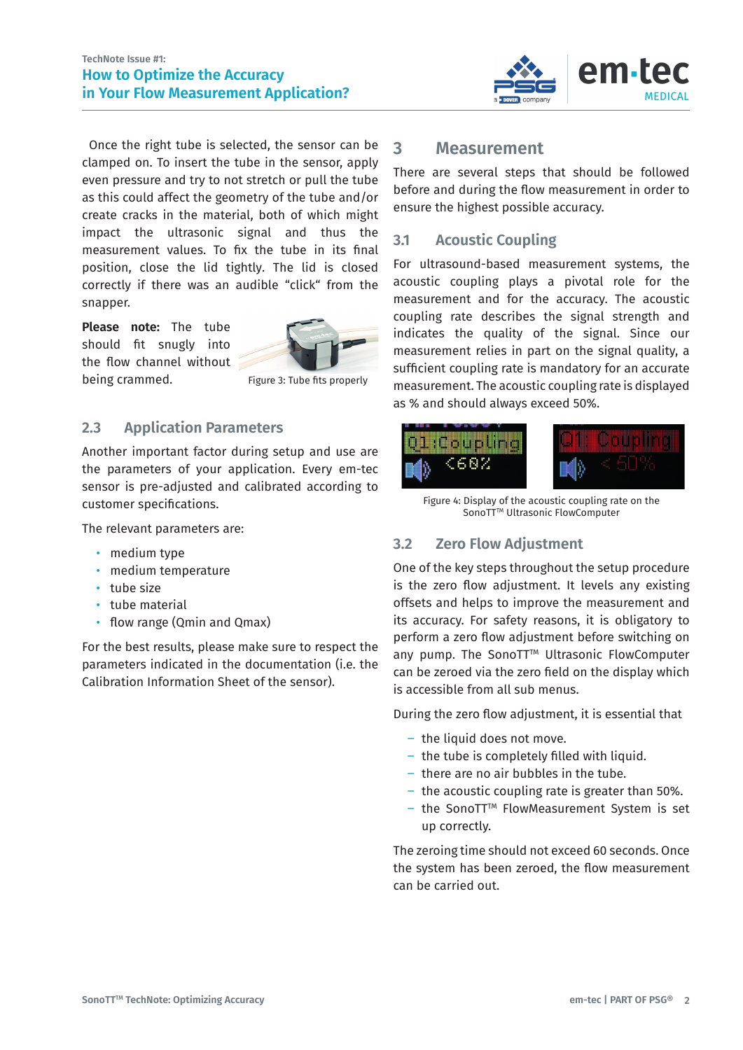

Once the right tube is selected, the sensor can be clamped on. To insert the tube in the sensor, apply even pressure and try to not stretch or pull the tube as this could affect the geometry of the tube and/or create cracks in the material, both of which might impact the ultrasonic signal and thus the measurement values. To fix the tube in its final position, close the lid tightly. The lid is closed correctly if there was an audible "click" from the snapper.

**Please note:** The tube should fit snugly into the flow channel without being crammed.



Figure 3: Tube fits properly

#### **2.3 Application Parameters**

Another important factor during setup and use are the parameters of your application. Every em-tec sensor is pre-adjusted and calibrated according to customer specifications.

The relevant parameters are:

- medium type
- medium temperature
- tube size
- tube material
- flow range (Qmin and Qmax)

For the best results, please make sure to respect the parameters indicated in the documentation (i.e. the Calibration Information Sheet of the sensor).

#### **3 Measurement**

There are several steps that should be followed before and during the flow measurement in order to ensure the highest possible accuracy.

### **3.1 Acoustic Coupling**

For ultrasound-based measurement systems, the acoustic coupling plays a pivotal role for the measurement and for the accuracy. The acoustic coupling rate describes the signal strength and indicates the quality of the signal. Since our measurement relies in part on the signal quality, a sufficient coupling rate is mandatory for an accurate measurement. The acoustic coupling rate is displayed as % and should always exceed 50%.



Figure 4: Display of the acoustic coupling rate on the SonoTT<sup>™</sup> Ultrasonic FlowComputer

#### **3.2 Zero Flow Adjustment**

One of the key steps throughout the setup procedure is the zero flow adjustment. It levels any existing offsets and helps to improve the measurement and its accuracy. For safety reasons, it is obligatory to perform a zero flow adjustment before switching on any pump. The SonoTT™ Ultrasonic FlowComputer can be zeroed via the zero field on the display which is accessible from all sub menus.

During the zero flow adjustment, it is essential that

- the liquid does not move.
- the tube is completely filled with liquid.
- $-$  there are no air bubbles in the tube.
- ࢛ the acoustic coupling rate is greater than 50%.
- ࢛ the SonoTTTM FlowMeasurement System is set up correctly.

The zeroing time should not exceed 60 seconds. Once the system has been zeroed, the flow measurement can be carried out.